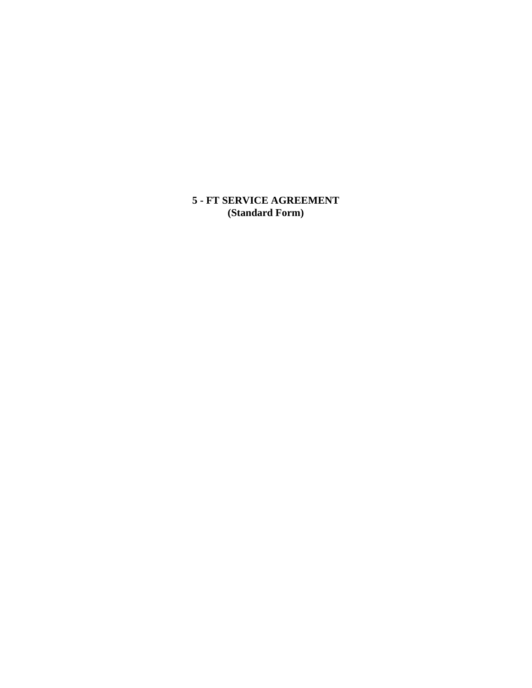**5 - FT SERVICE AGREEMENT (Standard Form)**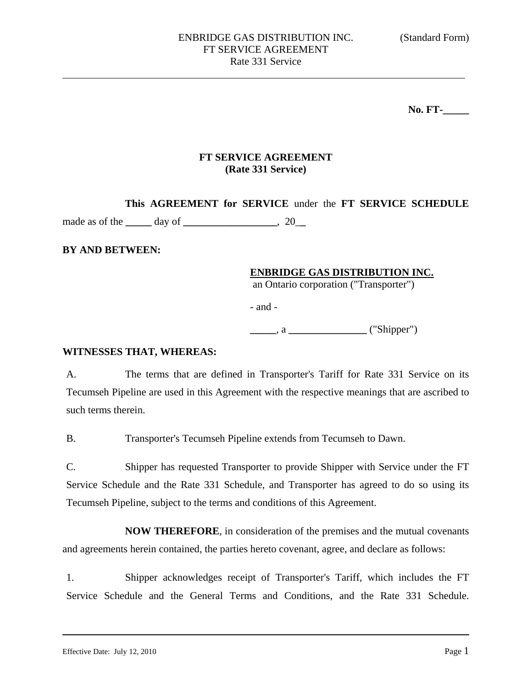**No. FT-\_\_\_\_\_** 

## **FT SERVICE AGREEMENT (Rate 331 Service)**

**This AGREEMENT for SERVICE** under the **FT SERVICE SCHEDULE** 

made as of the **\_\_\_\_\_** day of **\_\_\_\_\_\_\_\_\_\_\_\_\_\_\_\_\_\_**, 20\_**\_** 

### **BY AND BETWEEN:**

### **ENBRIDGE GAS DISTRIBUTION INC.**

an Ontario corporation ("Transporter")

- and -

**\_\_\_\_\_**, a **\_\_\_\_\_\_\_\_\_\_\_\_\_\_\_** ("Shipper")

#### **WITNESSES THAT, WHEREAS:**

A. The terms that are defined in Transporter's Tariff for Rate 331 Service on its Tecumseh Pipeline are used in this Agreement with the respective meanings that are ascribed to such terms therein.

B. Transporter's Tecumseh Pipeline extends from Tecumseh to Dawn.

C. Shipper has requested Transporter to provide Shipper with Service under the FT Service Schedule and the Rate 331 Schedule, and Transporter has agreed to do so using its Tecumseh Pipeline, subject to the terms and conditions of this Agreement.

**NOW THEREFORE**, in consideration of the premises and the mutual covenants and agreements herein contained, the parties hereto covenant, agree, and declare as follows:

1. Shipper acknowledges receipt of Transporter's Tariff, which includes the FT Service Schedule and the General Terms and Conditions, and the Rate 331 Schedule.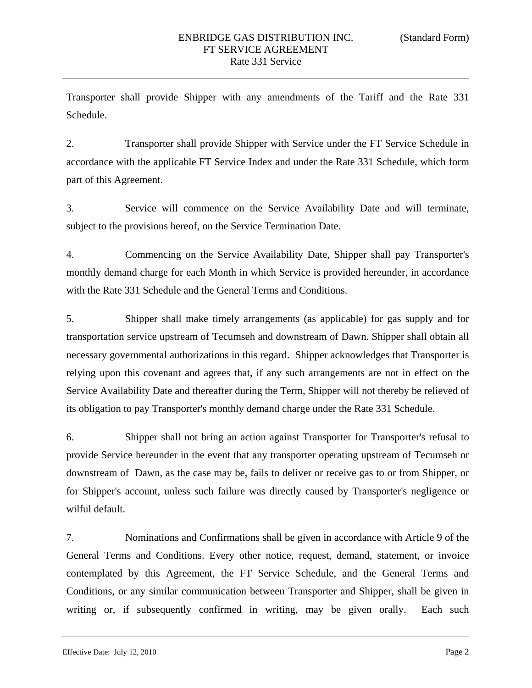Transporter shall provide Shipper with any amendments of the Tariff and the Rate 331 Schedule.

2. Transporter shall provide Shipper with Service under the FT Service Schedule in accordance with the applicable FT Service Index and under the Rate 331 Schedule, which form part of this Agreement.

3. Service will commence on the Service Availability Date and will terminate, subject to the provisions hereof, on the Service Termination Date.

4. Commencing on the Service Availability Date, Shipper shall pay Transporter's monthly demand charge for each Month in which Service is provided hereunder, in accordance with the Rate 331 Schedule and the General Terms and Conditions.

5. Shipper shall make timely arrangements (as applicable) for gas supply and for transportation service upstream of Tecumseh and downstream of Dawn. Shipper shall obtain all necessary governmental authorizations in this regard. Shipper acknowledges that Transporter is relying upon this covenant and agrees that, if any such arrangements are not in effect on the Service Availability Date and thereafter during the Term, Shipper will not thereby be relieved of its obligation to pay Transporter's monthly demand charge under the Rate 331 Schedule.

6. Shipper shall not bring an action against Transporter for Transporter's refusal to provide Service hereunder in the event that any transporter operating upstream of Tecumseh or downstream of Dawn, as the case may be, fails to deliver or receive gas to or from Shipper, or for Shipper's account, unless such failure was directly caused by Transporter's negligence or wilful default.

7. Nominations and Confirmations shall be given in accordance with Article 9 of the General Terms and Conditions. Every other notice, request, demand, statement, or invoice contemplated by this Agreement, the FT Service Schedule, and the General Terms and Conditions, or any similar communication between Transporter and Shipper, shall be given in writing or, if subsequently confirmed in writing, may be given orally. Each such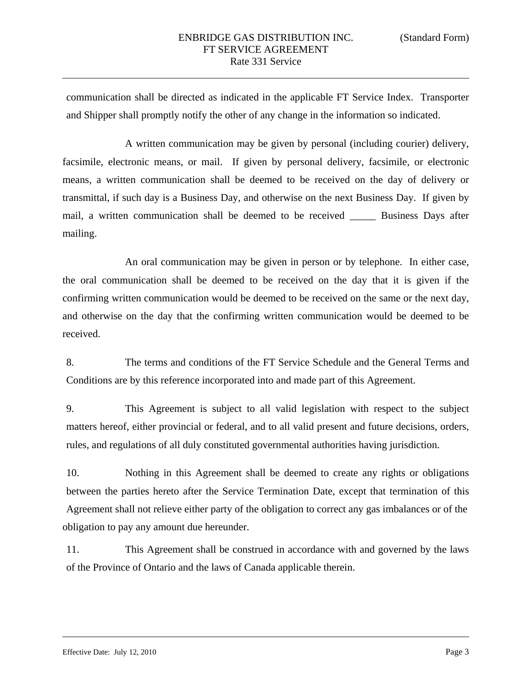communication shall be directed as indicated in the applicable FT Service Index. Transporter and Shipper shall promptly notify the other of any change in the information so indicated.

A written communication may be given by personal (including courier) delivery, facsimile, electronic means, or mail. If given by personal delivery, facsimile, or electronic means, a written communication shall be deemed to be received on the day of delivery or transmittal, if such day is a Business Day, and otherwise on the next Business Day. If given by mail, a written communication shall be deemed to be received \_\_\_\_\_ Business Days after mailing.

An oral communication may be given in person or by telephone. In either case, the oral communication shall be deemed to be received on the day that it is given if the confirming written communication would be deemed to be received on the same or the next day, and otherwise on the day that the confirming written communication would be deemed to be received.

8. The terms and conditions of the FT Service Schedule and the General Terms and Conditions are by this reference incorporated into and made part of this Agreement.

9. This Agreement is subject to all valid legislation with respect to the subject matters hereof, either provincial or federal, and to all valid present and future decisions, orders, rules, and regulations of all duly constituted governmental authorities having jurisdiction.

10. Nothing in this Agreement shall be deemed to create any rights or obligations between the parties hereto after the Service Termination Date, except that termination of this Agreement shall not relieve either party of the obligation to correct any gas imbalances or of the obligation to pay any amount due hereunder.

11. This Agreement shall be construed in accordance with and governed by the laws of the Province of Ontario and the laws of Canada applicable therein.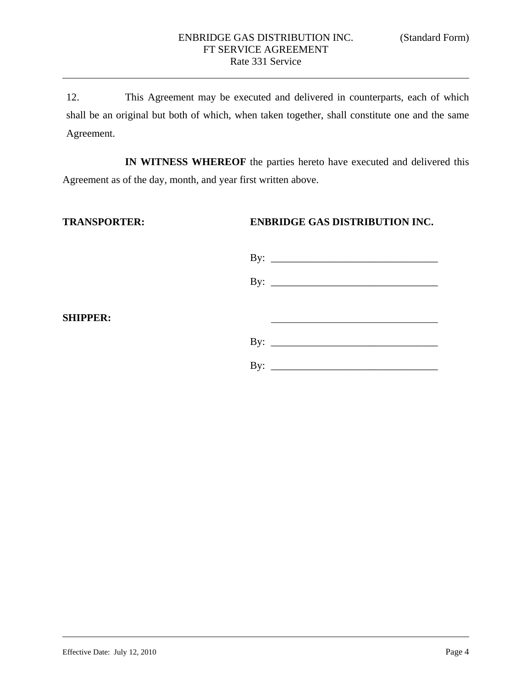12. This Agreement may be executed and delivered in counterparts, each of which shall be an original but both of which, when taken together, shall constitute one and the same Agreement.

**IN WITNESS WHEREOF** the parties hereto have executed and delivered this Agreement as of the day, month, and year first written above.

**SHIPPER:** 

**TRANSPORTER: ENBRIDGE GAS DISTRIBUTION INC.** 

|                | By: $\qquad \qquad$          |
|----------------|------------------------------|
|                | By: $\overline{\phantom{a}}$ |
|                |                              |
|                |                              |
|                | By: $\qquad \qquad$          |
| $\mathbf{By:}$ |                              |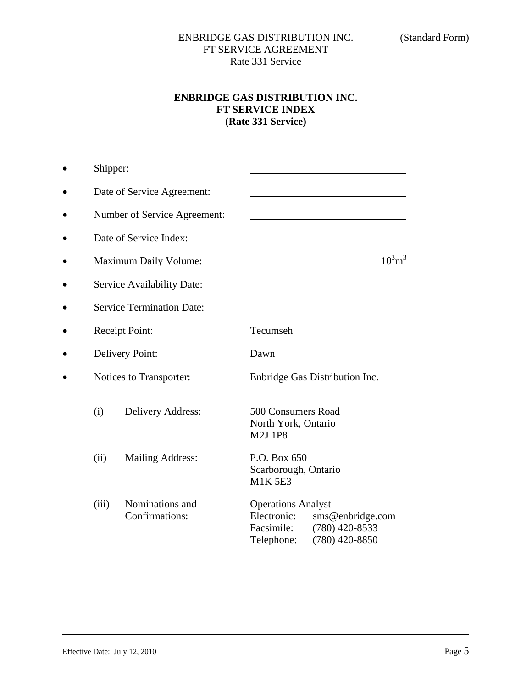# **ENBRIDGE GAS DISTRIBUTION INC. FT SERVICE INDEX (Rate 331 Service)**

|           | Shipper:                         |                                   |                                                                      |                                                        |
|-----------|----------------------------------|-----------------------------------|----------------------------------------------------------------------|--------------------------------------------------------|
|           |                                  | Date of Service Agreement:        |                                                                      |                                                        |
| $\bullet$ |                                  | Number of Service Agreement:      |                                                                      |                                                        |
|           | Date of Service Index:           |                                   |                                                                      |                                                        |
|           |                                  | <b>Maximum Daily Volume:</b>      |                                                                      | $10^3$ m <sup>3</sup>                                  |
|           |                                  | Service Availability Date:        |                                                                      |                                                        |
|           | <b>Service Termination Date:</b> |                                   |                                                                      |                                                        |
|           |                                  | Receipt Point:                    | Tecumseh                                                             |                                                        |
|           |                                  | Delivery Point:                   | Dawn                                                                 |                                                        |
|           |                                  | Notices to Transporter:           |                                                                      | Enbridge Gas Distribution Inc.                         |
|           | (i)                              | Delivery Address:                 | 500 Consumers Road<br>North York, Ontario<br><b>M2J 1P8</b>          |                                                        |
|           | (ii)                             | <b>Mailing Address:</b>           | P.O. Box 650<br>Scarborough, Ontario<br><b>M1K 5E3</b>               |                                                        |
|           | (iii)                            | Nominations and<br>Confirmations: | <b>Operations Analyst</b><br>Electronic:<br>Facsimile:<br>Telephone: | sms@enbridge.com<br>$(780)$ 420-8533<br>(780) 420-8850 |